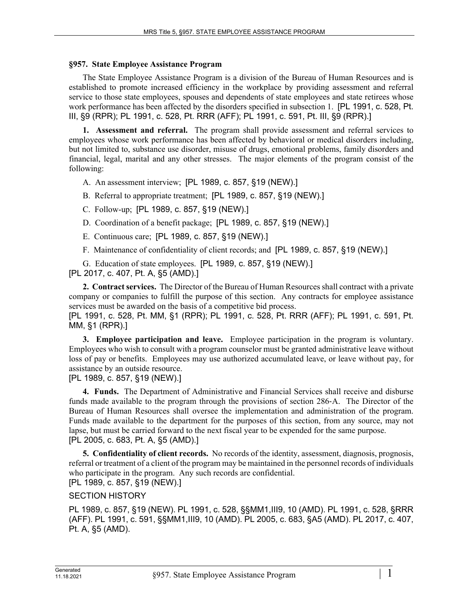## **§957. State Employee Assistance Program**

The State Employee Assistance Program is a division of the Bureau of Human Resources and is established to promote increased efficiency in the workplace by providing assessment and referral service to those state employees, spouses and dependents of state employees and state retirees whose work performance has been affected by the disorders specified in subsection 1. [PL 1991, c. 528, Pt. III, §9 (RPR); PL 1991, c. 528, Pt. RRR (AFF); PL 1991, c. 591, Pt. III, §9 (RPR).]

**1. Assessment and referral.** The program shall provide assessment and referral services to employees whose work performance has been affected by behavioral or medical disorders including, but not limited to, substance use disorder, misuse of drugs, emotional problems, family disorders and financial, legal, marital and any other stresses. The major elements of the program consist of the following:

A. An assessment interview; [PL 1989, c. 857, §19 (NEW).]

B. Referral to appropriate treatment; [PL 1989, c. 857, §19 (NEW).]

- C. Follow-up; [PL 1989, c. 857, §19 (NEW).]
- D. Coordination of a benefit package; [PL 1989, c. 857, §19 (NEW).]
- E. Continuous care; [PL 1989, c. 857, §19 (NEW).]
- F. Maintenance of confidentiality of client records; and [PL 1989, c. 857, §19 (NEW).]

G. Education of state employees. [PL 1989, c. 857, §19 (NEW).] [PL 2017, c. 407, Pt. A, §5 (AMD).]

**2. Contract services.** The Director of the Bureau of Human Resources shall contract with a private company or companies to fulfill the purpose of this section. Any contracts for employee assistance services must be awarded on the basis of a competitive bid process.

[PL 1991, c. 528, Pt. MM, §1 (RPR); PL 1991, c. 528, Pt. RRR (AFF); PL 1991, c. 591, Pt. MM, §1 (RPR).]

**3. Employee participation and leave.** Employee participation in the program is voluntary. Employees who wish to consult with a program counselor must be granted administrative leave without loss of pay or benefits. Employees may use authorized accumulated leave, or leave without pay, for assistance by an outside resource.

[PL 1989, c. 857, §19 (NEW).]

**4. Funds.** The Department of Administrative and Financial Services shall receive and disburse funds made available to the program through the provisions of section 286‑A. The Director of the Bureau of Human Resources shall oversee the implementation and administration of the program. Funds made available to the department for the purposes of this section, from any source, may not lapse, but must be carried forward to the next fiscal year to be expended for the same purpose. [PL 2005, c. 683, Pt. A, §5 (AMD).]

**5. Confidentiality of client records.** No records of the identity, assessment, diagnosis, prognosis, referral or treatment of a client of the program may be maintained in the personnel records of individuals who participate in the program. Any such records are confidential. [PL 1989, c. 857, §19 (NEW).]

## SECTION HISTORY

PL 1989, c. 857, §19 (NEW). PL 1991, c. 528, §§MM1,III9, 10 (AMD). PL 1991, c. 528, §RRR (AFF). PL 1991, c. 591, §§MM1,III9, 10 (AMD). PL 2005, c. 683, §A5 (AMD). PL 2017, c. 407, Pt. A, §5 (AMD).